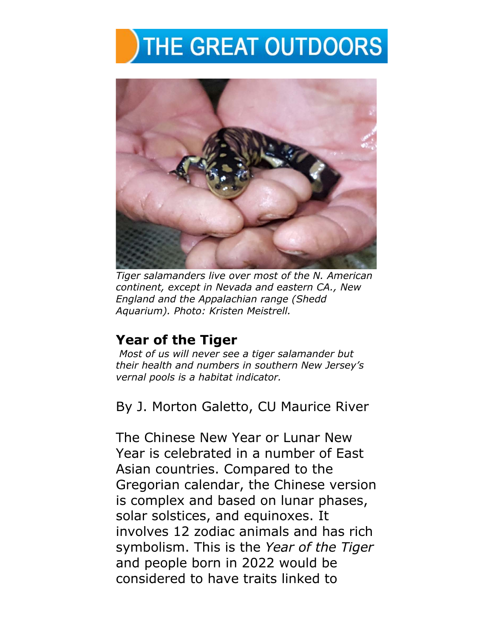## THE GREAT OUTDOORS



*Tiger salamanders live over most of the N. American continent, except in Nevada and eastern CA., New England and the Appalachian range (Shedd Aquarium). Photo: Kristen Meistrell.* 

## **Year of the Tiger**

*Most of us will never see a tiger salamander but their health and numbers in southern New Jersey's vernal pools is a habitat indicator.* 

By J. Morton Galetto, CU Maurice River

The Chinese New Year or Lunar New Year is celebrated in a number of East Asian countries. Compared to the Gregorian calendar, the Chinese version is complex and based on lunar phases, solar solstices, and equinoxes. It involves 12 zodiac animals and has rich symbolism. This is the *Year of the Tiger* and people born in 2022 would be considered to have traits linked to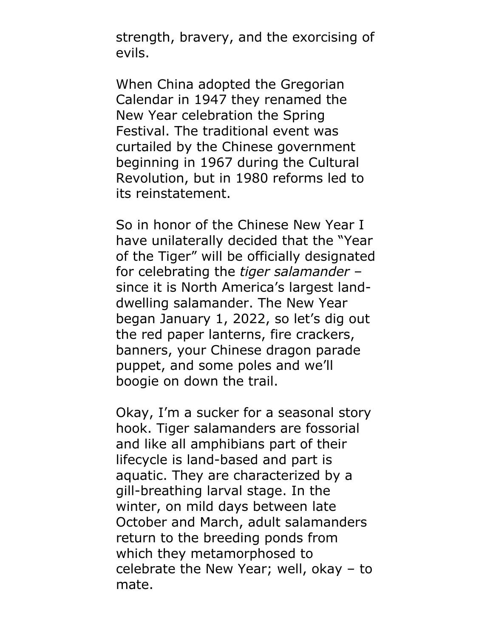strength, bravery, and the exorcising of evils.

When China adopted the Gregorian Calendar in 1947 they renamed the New Year celebration the Spring Festival. The traditional event was curtailed by the Chinese government beginning in 1967 during the Cultural Revolution, but in 1980 reforms led to its reinstatement.

So in honor of the Chinese New Year I have unilaterally decided that the "Year of the Tiger" will be officially designated for celebrating the *tiger salamander* – since it is North America's largest landdwelling salamander. The New Year began January 1, 2022, so let's dig out the red paper lanterns, fire crackers, banners, your Chinese dragon parade puppet, and some poles and we'll boogie on down the trail.

Okay, I'm a sucker for a seasonal story hook. Tiger salamanders are fossorial and like all amphibians part of their lifecycle is land-based and part is aquatic. They are characterized by a gill-breathing larval stage. In the winter, on mild days between late October and March, adult salamanders return to the breeding ponds from which they metamorphosed to celebrate the New Year; well, okay – to mate.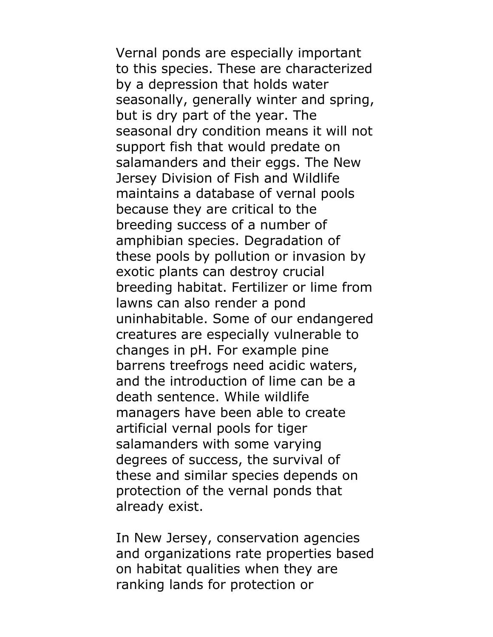Vernal ponds are especially important to this species. These are characterized by a depression that holds water seasonally, generally winter and spring, but is dry part of the year. The seasonal dry condition means it will not support fish that would predate on salamanders and their eggs. The New Jersey Division of Fish and Wildlife maintains a database of vernal pools because they are critical to the breeding success of a number of amphibian species. Degradation of these pools by pollution or invasion by exotic plants can destroy crucial breeding habitat. Fertilizer or lime from lawns can also render a pond uninhabitable. Some of our endangered creatures are especially vulnerable to changes in pH. For example pine barrens treefrogs need acidic waters, and the introduction of lime can be a death sentence. While wildlife managers have been able to create artificial vernal pools for tiger salamanders with some varying degrees of success, the survival of these and similar species depends on protection of the vernal ponds that already exist.

In New Jersey, conservation agencies and organizations rate properties based on habitat qualities when they are ranking lands for protection or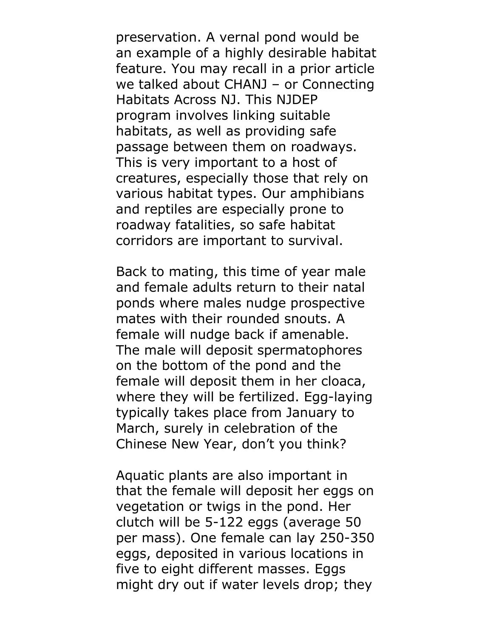preservation. A vernal pond would be an example of a highly desirable habitat feature. You may recall in a prior article we talked about CHANJ – or Connecting Habitats Across NJ. This NJDEP program involves linking suitable habitats, as well as providing safe passage between them on roadways. This is very important to a host of creatures, especially those that rely on various habitat types. Our amphibians and reptiles are especially prone to roadway fatalities, so safe habitat corridors are important to survival.

Back to mating, this time of year male and female adults return to their natal ponds where males nudge prospective mates with their rounded snouts. A female will nudge back if amenable. The male will deposit spermatophores on the bottom of the pond and the female will deposit them in her cloaca, where they will be fertilized. Egg-laying typically takes place from January to March, surely in celebration of the Chinese New Year, don't you think?

Aquatic plants are also important in that the female will deposit her eggs on vegetation or twigs in the pond. Her clutch will be 5-122 eggs (average 50 per mass). One female can lay 250-350 eggs, deposited in various locations in five to eight different masses. Eggs might dry out if water levels drop; they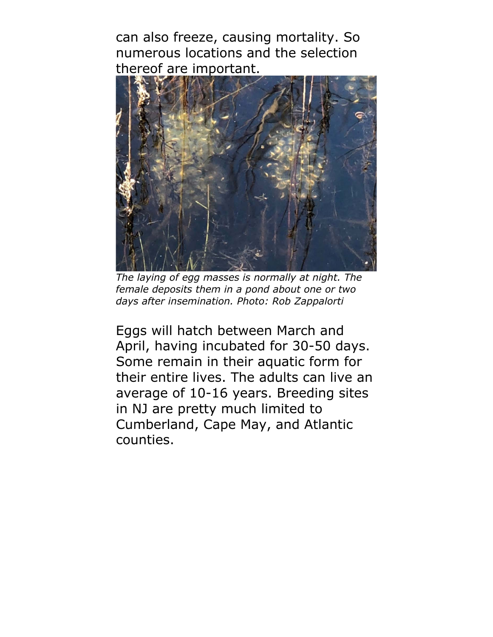can also freeze, causing mortality. So numerous locations and the selection thereof are important.



*The laying of egg masses is normally at night. The female deposits them in a pond about one or two days after insemination. Photo: Rob Zappalorti*

Eggs will hatch between March and April, having incubated for 30-50 days. Some remain in their aquatic form for their entire lives. The adults can live an average of 10-16 years. Breeding sites in NJ are pretty much limited to Cumberland, Cape May, and Atlantic counties.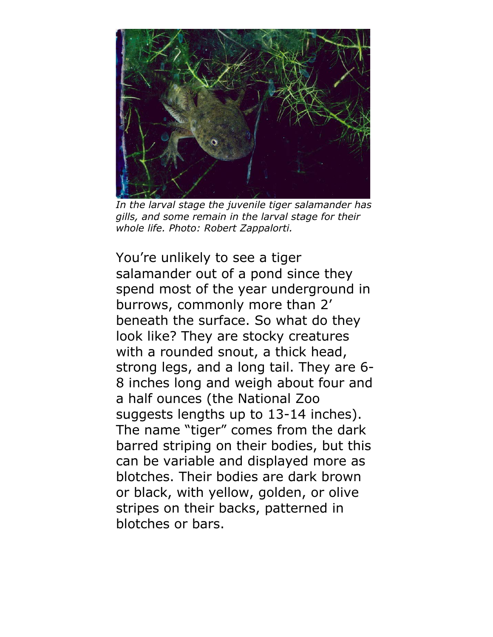

*In the larval stage the juvenile tiger salamander has gills, and some remain in the larval stage for their whole life. Photo: Robert Zappalorti.*

You're unlikely to see a tiger salamander out of a pond since they spend most of the year underground in burrows, commonly more than 2' beneath the surface. So what do they look like? They are stocky creatures with a rounded snout, a thick head, strong legs, and a long tail. They are 6- 8 inches long and weigh about four and a half ounces (the National Zoo suggests lengths up to 13-14 inches). The name "tiger" comes from the dark barred striping on their bodies, but this can be variable and displayed more as blotches. Their bodies are dark brown or black, with yellow, golden, or olive stripes on their backs, patterned in blotches or bars.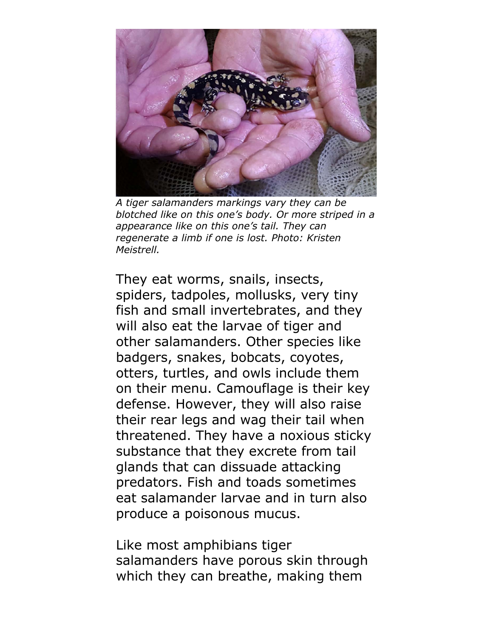

*A tiger salamanders markings vary they can be blotched like on this one's body. Or more striped in a appearance like on this one's tail. They can regenerate a limb if one is lost. Photo: Kristen Meistrell.* 

They eat worms, snails, insects, spiders, tadpoles, mollusks, very tiny fish and small invertebrates, and they will also eat the larvae of tiger and other salamanders. Other species like badgers, snakes, bobcats, coyotes, otters, turtles, and owls include them on their menu. Camouflage is their key defense. However, they will also raise their rear legs and wag their tail when threatened. They have a noxious sticky substance that they excrete from tail glands that can dissuade attacking predators. Fish and toads sometimes eat salamander larvae and in turn also produce a poisonous mucus.

Like most amphibians tiger salamanders have porous skin through which they can breathe, making them